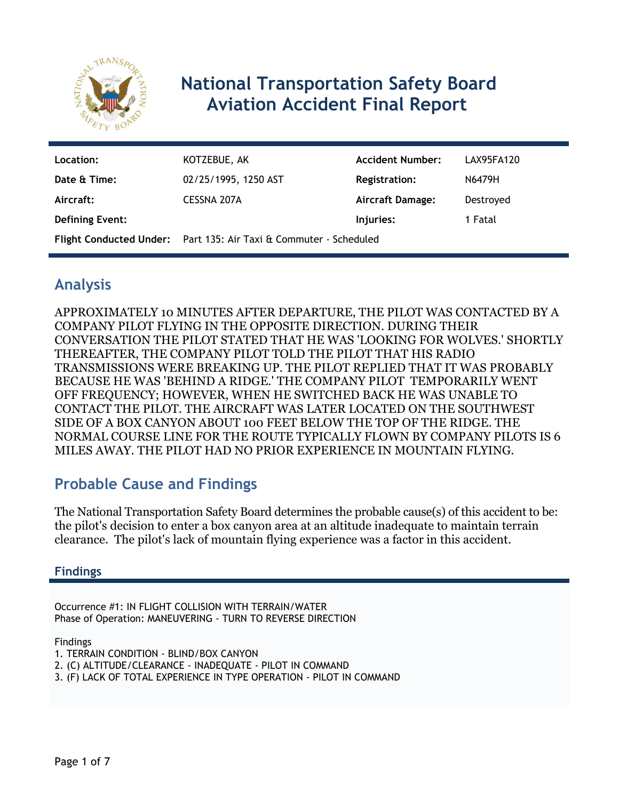

# **National Transportation Safety Board Aviation Accident Final Report**

| Location:              | KOTZEBUE, AK                                                             | <b>Accident Number:</b> | LAX95FA120 |
|------------------------|--------------------------------------------------------------------------|-------------------------|------------|
| Date & Time:           | 02/25/1995, 1250 AST                                                     | <b>Registration:</b>    | N6479H     |
| Aircraft:              | CESSNA 207A                                                              | <b>Aircraft Damage:</b> | Destroyed  |
| <b>Defining Event:</b> |                                                                          | Injuries:               | 1 Fatal    |
|                        | <b>Flight Conducted Under:</b> Part 135: Air Taxi & Commuter - Scheduled |                         |            |

# **Analysis**

APPROXIMATELY 10 MINUTES AFTER DEPARTURE, THE PILOT WAS CONTACTED BY A COMPANY PILOT FLYING IN THE OPPOSITE DIRECTION. DURING THEIR CONVERSATION THE PILOT STATED THAT HE WAS 'LOOKING FOR WOLVES.' SHORTLY THEREAFTER, THE COMPANY PILOT TOLD THE PILOT THAT HIS RADIO TRANSMISSIONS WERE BREAKING UP. THE PILOT REPLIED THAT IT WAS PROBABLY BECAUSE HE WAS 'BEHIND A RIDGE.' THE COMPANY PILOT TEMPORARILY WENT OFF FREQUENCY; HOWEVER, WHEN HE SWITCHED BACK HE WAS UNABLE TO CONTACT THE PILOT. THE AIRCRAFT WAS LATER LOCATED ON THE SOUTHWEST SIDE OF A BOX CANYON ABOUT 100 FEET BELOW THE TOP OF THE RIDGE. THE NORMAL COURSE LINE FOR THE ROUTE TYPICALLY FLOWN BY COMPANY PILOTS IS 6 MILES AWAY. THE PILOT HAD NO PRIOR EXPERIENCE IN MOUNTAIN FLYING.

# **Probable Cause and Findings**

The National Transportation Safety Board determines the probable cause(s) of this accident to be: the pilot's decision to enter a box canyon area at an altitude inadequate to maintain terrain clearance. The pilot's lack of mountain flying experience was a factor in this accident.

# **Findings**

Occurrence #1: IN FLIGHT COLLISION WITH TERRAIN/WATER Phase of Operation: MANEUVERING - TURN TO REVERSE DIRECTION

Findings

- 1. TERRAIN CONDITION BLIND/BOX CANYON
- 2. (C) ALTITUDE/CLEARANCE INADEQUATE PILOT IN COMMAND
- 3. (F) LACK OF TOTAL EXPERIENCE IN TYPE OPERATION PILOT IN COMMAND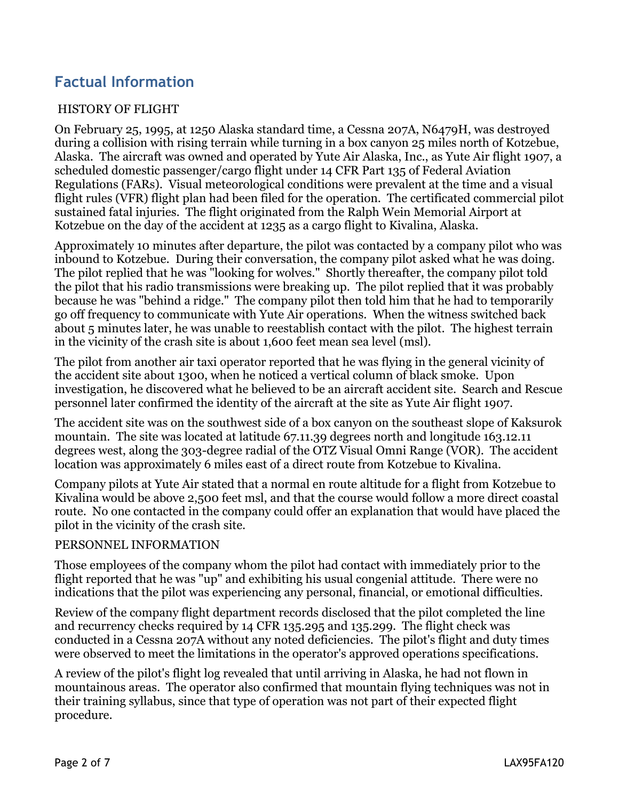# **Factual Information**

### HISTORY OF FLIGHT

On February 25, 1995, at 1250 Alaska standard time, a Cessna 207A, N6479H, was destroyed during a collision with rising terrain while turning in a box canyon 25 miles north of Kotzebue, Alaska. The aircraft was owned and operated by Yute Air Alaska, Inc., as Yute Air flight 1907, a scheduled domestic passenger/cargo flight under 14 CFR Part 135 of Federal Aviation Regulations (FARs). Visual meteorological conditions were prevalent at the time and a visual flight rules (VFR) flight plan had been filed for the operation. The certificated commercial pilot sustained fatal injuries. The flight originated from the Ralph Wein Memorial Airport at Kotzebue on the day of the accident at 1235 as a cargo flight to Kivalina, Alaska.

Approximately 10 minutes after departure, the pilot was contacted by a company pilot who was inbound to Kotzebue. During their conversation, the company pilot asked what he was doing. The pilot replied that he was "looking for wolves." Shortly thereafter, the company pilot told the pilot that his radio transmissions were breaking up. The pilot replied that it was probably because he was "behind a ridge." The company pilot then told him that he had to temporarily go off frequency to communicate with Yute Air operations. When the witness switched back about 5 minutes later, he was unable to reestablish contact with the pilot. The highest terrain in the vicinity of the crash site is about 1,600 feet mean sea level (msl).

The pilot from another air taxi operator reported that he was flying in the general vicinity of the accident site about 1300, when he noticed a vertical column of black smoke. Upon investigation, he discovered what he believed to be an aircraft accident site. Search and Rescue personnel later confirmed the identity of the aircraft at the site as Yute Air flight 1907.

The accident site was on the southwest side of a box canyon on the southeast slope of Kaksurok mountain. The site was located at latitude 67.11.39 degrees north and longitude 163.12.11 degrees west, along the 303-degree radial of the OTZ Visual Omni Range (VOR). The accident location was approximately 6 miles east of a direct route from Kotzebue to Kivalina.

Company pilots at Yute Air stated that a normal en route altitude for a flight from Kotzebue to Kivalina would be above 2,500 feet msl, and that the course would follow a more direct coastal route. No one contacted in the company could offer an explanation that would have placed the pilot in the vicinity of the crash site.

### PERSONNEL INFORMATION

Those employees of the company whom the pilot had contact with immediately prior to the flight reported that he was "up" and exhibiting his usual congenial attitude. There were no indications that the pilot was experiencing any personal, financial, or emotional difficulties.

Review of the company flight department records disclosed that the pilot completed the line and recurrency checks required by 14 CFR 135.295 and 135.299. The flight check was conducted in a Cessna 207A without any noted deficiencies. The pilot's flight and duty times were observed to meet the limitations in the operator's approved operations specifications.

A review of the pilot's flight log revealed that until arriving in Alaska, he had not flown in mountainous areas. The operator also confirmed that mountain flying techniques was not in their training syllabus, since that type of operation was not part of their expected flight procedure.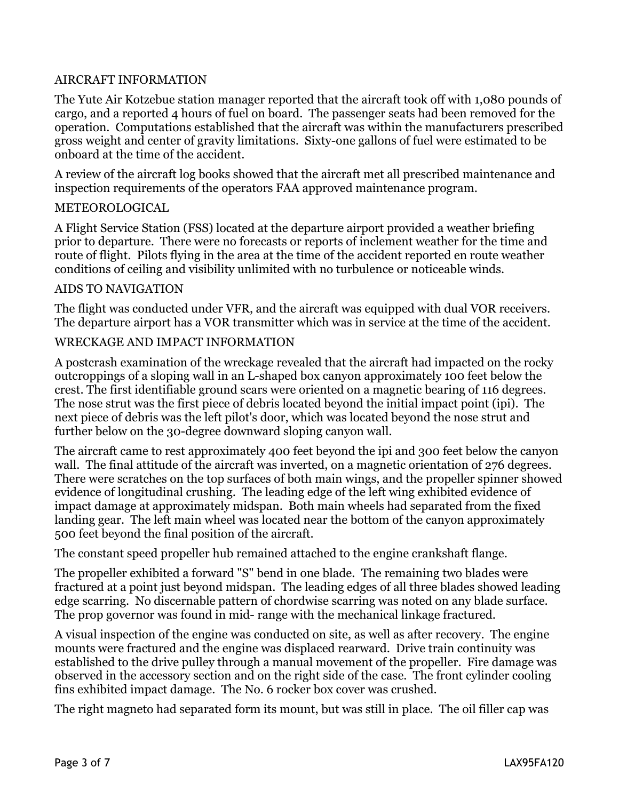### AIRCRAFT INFORMATION

The Yute Air Kotzebue station manager reported that the aircraft took off with 1,080 pounds of cargo, and a reported 4 hours of fuel on board. The passenger seats had been removed for the operation. Computations established that the aircraft was within the manufacturers prescribed gross weight and center of gravity limitations. Sixty-one gallons of fuel were estimated to be onboard at the time of the accident.

A review of the aircraft log books showed that the aircraft met all prescribed maintenance and inspection requirements of the operators FAA approved maintenance program.

### METEOROLOGICAL

A Flight Service Station (FSS) located at the departure airport provided a weather briefing prior to departure. There were no forecasts or reports of inclement weather for the time and route of flight. Pilots flying in the area at the time of the accident reported en route weather conditions of ceiling and visibility unlimited with no turbulence or noticeable winds.

### AIDS TO NAVIGATION

The flight was conducted under VFR, and the aircraft was equipped with dual VOR receivers. The departure airport has a VOR transmitter which was in service at the time of the accident.

### WRECKAGE AND IMPACT INFORMATION

A postcrash examination of the wreckage revealed that the aircraft had impacted on the rocky outcroppings of a sloping wall in an L-shaped box canyon approximately 100 feet below the crest. The first identifiable ground scars were oriented on a magnetic bearing of 116 degrees. The nose strut was the first piece of debris located beyond the initial impact point (ipi). The next piece of debris was the left pilot's door, which was located beyond the nose strut and further below on the 30-degree downward sloping canyon wall.

The aircraft came to rest approximately 400 feet beyond the ipi and 300 feet below the canyon wall. The final attitude of the aircraft was inverted, on a magnetic orientation of 276 degrees. There were scratches on the top surfaces of both main wings, and the propeller spinner showed evidence of longitudinal crushing. The leading edge of the left wing exhibited evidence of impact damage at approximately midspan. Both main wheels had separated from the fixed landing gear. The left main wheel was located near the bottom of the canyon approximately 500 feet beyond the final position of the aircraft.

The constant speed propeller hub remained attached to the engine crankshaft flange.

The propeller exhibited a forward "S" bend in one blade. The remaining two blades were fractured at a point just beyond midspan. The leading edges of all three blades showed leading edge scarring. No discernable pattern of chordwise scarring was noted on any blade surface. The prop governor was found in mid- range with the mechanical linkage fractured.

A visual inspection of the engine was conducted on site, as well as after recovery. The engine mounts were fractured and the engine was displaced rearward. Drive train continuity was established to the drive pulley through a manual movement of the propeller. Fire damage was observed in the accessory section and on the right side of the case. The front cylinder cooling fins exhibited impact damage. The No. 6 rocker box cover was crushed.

The right magneto had separated form its mount, but was still in place. The oil filler cap was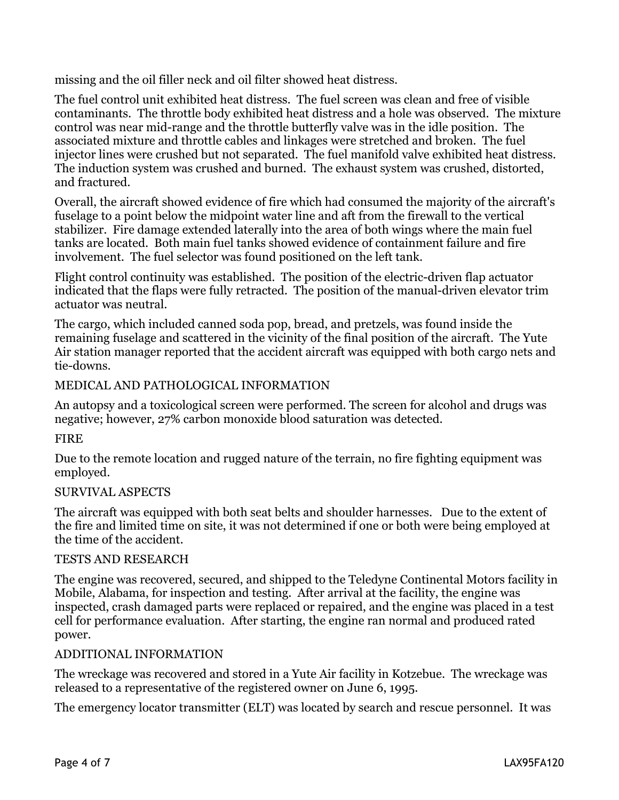missing and the oil filler neck and oil filter showed heat distress.

The fuel control unit exhibited heat distress. The fuel screen was clean and free of visible contaminants. The throttle body exhibited heat distress and a hole was observed. The mixture control was near mid-range and the throttle butterfly valve was in the idle position. The associated mixture and throttle cables and linkages were stretched and broken. The fuel injector lines were crushed but not separated. The fuel manifold valve exhibited heat distress. The induction system was crushed and burned. The exhaust system was crushed, distorted, and fractured.

Overall, the aircraft showed evidence of fire which had consumed the majority of the aircraft's fuselage to a point below the midpoint water line and aft from the firewall to the vertical stabilizer. Fire damage extended laterally into the area of both wings where the main fuel tanks are located. Both main fuel tanks showed evidence of containment failure and fire involvement. The fuel selector was found positioned on the left tank.

Flight control continuity was established. The position of the electric-driven flap actuator indicated that the flaps were fully retracted. The position of the manual-driven elevator trim actuator was neutral.

The cargo, which included canned soda pop, bread, and pretzels, was found inside the remaining fuselage and scattered in the vicinity of the final position of the aircraft. The Yute Air station manager reported that the accident aircraft was equipped with both cargo nets and tie-downs.

# MEDICAL AND PATHOLOGICAL INFORMATION

An autopsy and a toxicological screen were performed. The screen for alcohol and drugs was negative; however, 27% carbon monoxide blood saturation was detected.

# FIRE

Due to the remote location and rugged nature of the terrain, no fire fighting equipment was employed.

# SURVIVAL ASPECTS

The aircraft was equipped with both seat belts and shoulder harnesses. Due to the extent of the fire and limited time on site, it was not determined if one or both were being employed at the time of the accident.

### TESTS AND RESEARCH

The engine was recovered, secured, and shipped to the Teledyne Continental Motors facility in Mobile, Alabama, for inspection and testing. After arrival at the facility, the engine was inspected, crash damaged parts were replaced or repaired, and the engine was placed in a test cell for performance evaluation. After starting, the engine ran normal and produced rated power.

### ADDITIONAL INFORMATION

The wreckage was recovered and stored in a Yute Air facility in Kotzebue. The wreckage was released to a representative of the registered owner on June 6, 1995.

The emergency locator transmitter (ELT) was located by search and rescue personnel. It was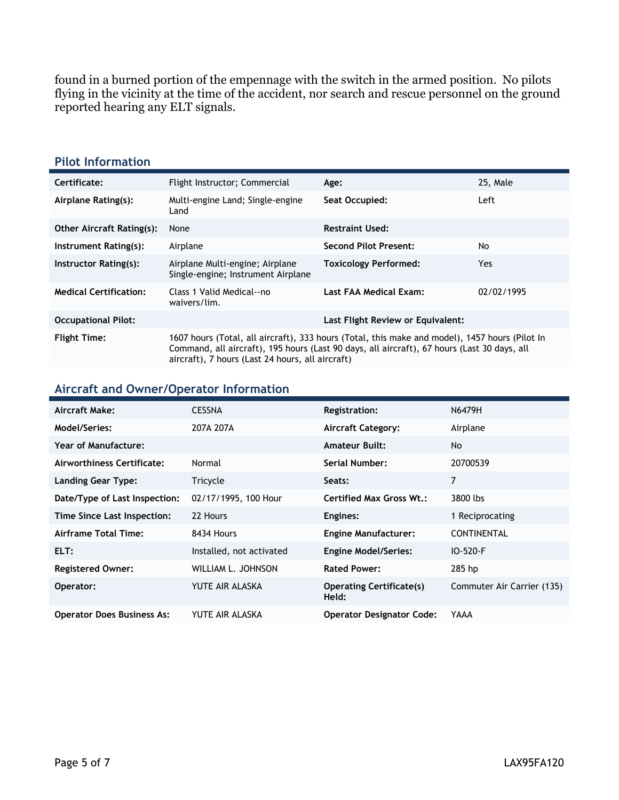found in a burned portion of the empennage with the switch in the armed position. No pilots flying in the vicinity at the time of the accident, nor search and rescue personnel on the ground reported hearing any ELT signals.

#### **Pilot Information**

| Certificate:                     |                                                                                                                                                                                                                                                   |                                   | 25, Male   |
|----------------------------------|---------------------------------------------------------------------------------------------------------------------------------------------------------------------------------------------------------------------------------------------------|-----------------------------------|------------|
|                                  | Flight Instructor; Commercial                                                                                                                                                                                                                     | Age:                              |            |
| Airplane Rating(s):              | Multi-engine Land; Single-engine<br>Land                                                                                                                                                                                                          | Seat Occupied:                    | Left       |
| <b>Other Aircraft Rating(s):</b> | None                                                                                                                                                                                                                                              | <b>Restraint Used:</b>            |            |
| Instrument Rating(s):            | Airplane                                                                                                                                                                                                                                          | <b>Second Pilot Present:</b>      | No         |
| Instructor Rating(s):            | Airplane Multi-engine; Airplane<br>Single-engine; Instrument Airplane                                                                                                                                                                             | <b>Toxicology Performed:</b>      | <b>Yes</b> |
| <b>Medical Certification:</b>    | Class 1 Valid Medical--no<br>waivers/lim.                                                                                                                                                                                                         | Last FAA Medical Exam:            | 02/02/1995 |
| <b>Occupational Pilot:</b>       |                                                                                                                                                                                                                                                   | Last Flight Review or Equivalent: |            |
| <b>Flight Time:</b>              | 1607 hours (Total, all aircraft), 333 hours (Total, this make and model), 1457 hours (Pilot In<br>Command, all aircraft), 195 hours (Last 90 days, all aircraft), 67 hours (Last 30 days, all<br>aircraft), 7 hours (Last 24 hours, all aircraft) |                                   |            |

#### **Aircraft and Owner/Operator Information**

| Aircraft Make:                    | <b>CESSNA</b>            | Registration:                            | N6479H                     |
|-----------------------------------|--------------------------|------------------------------------------|----------------------------|
| Model/Series:                     | 207A 207A                | <b>Aircraft Category:</b>                | Airplane                   |
| Year of Manufacture:              |                          | <b>Amateur Built:</b>                    | No                         |
| Airworthiness Certificate:        | Normal                   | Serial Number:                           | 20700539                   |
| <b>Landing Gear Type:</b>         | Tricycle                 | Seats:                                   | 7                          |
| Date/Type of Last Inspection:     | 02/17/1995, 100 Hour     | <b>Certified Max Gross Wt.:</b>          | 3800 lbs                   |
| Time Since Last Inspection:       | 22 Hours                 | Engines:                                 | 1 Reciprocating            |
| Airframe Total Time:              | 8434 Hours               | <b>Engine Manufacturer:</b>              | <b>CONTINENTAL</b>         |
| ELT:                              | Installed, not activated | <b>Engine Model/Series:</b>              | $IO - 520 - F$             |
| <b>Registered Owner:</b>          | WILLIAM L. JOHNSON       | <b>Rated Power:</b>                      | $285$ hp                   |
| Operator:                         | YUTE AIR ALASKA          | <b>Operating Certificate(s)</b><br>Held: | Commuter Air Carrier (135) |
| <b>Operator Does Business As:</b> | YUTE AIR ALASKA          | <b>Operator Designator Code:</b>         | YAAA                       |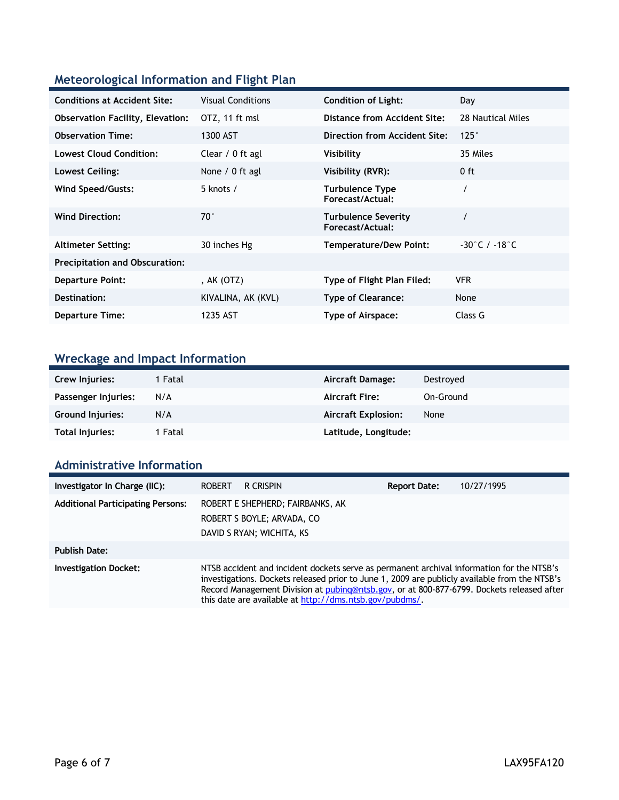# **Meteorological Information and Flight Plan**

| <b>Conditions at Accident Site:</b>     | <b>Visual Conditions</b> | <b>Condition of Light:</b>                     | Day                               |
|-----------------------------------------|--------------------------|------------------------------------------------|-----------------------------------|
| <b>Observation Facility, Elevation:</b> | OTZ, 11 ft msl           | Distance from Accident Site:                   | 28 Nautical Miles                 |
| <b>Observation Time:</b>                | 1300 AST                 | Direction from Accident Site:                  | $125^\circ$                       |
| <b>Lowest Cloud Condition:</b>          | Clear / 0 ft agl         | Visibility                                     | 35 Miles                          |
| Lowest Ceiling:                         | None / 0 ft agl          | Visibility (RVR):                              | $0$ ft                            |
| Wind Speed/Gusts:                       | 5 knots $/$              | <b>Turbulence Type</b><br>Forecast/Actual:     |                                   |
| <b>Wind Direction:</b>                  | $70^{\circ}$             | <b>Turbulence Severity</b><br>Forecast/Actual: |                                   |
| <b>Altimeter Setting:</b>               | 30 inches Hg             | <b>Temperature/Dew Point:</b>                  | $-30^{\circ}$ C / $-18^{\circ}$ C |
| <b>Precipitation and Obscuration:</b>   |                          |                                                |                                   |
| <b>Departure Point:</b>                 | , AK $(OTZ)$             | Type of Flight Plan Filed:                     | <b>VFR</b>                        |
| Destination:                            | KIVALINA, AK (KVL)       | <b>Type of Clearance:</b>                      | None                              |
| <b>Departure Time:</b>                  | 1235 AST                 | <b>Type of Airspace:</b>                       | Class G                           |

# **Wreckage and Impact Information**

| Crew Injuries:          | 1 Fatal | Aircraft Damage:           | Destroved |
|-------------------------|---------|----------------------------|-----------|
| Passenger Injuries:     | N/A     | <b>Aircraft Fire:</b>      | On-Ground |
| <b>Ground Injuries:</b> | N/A     | <b>Aircraft Explosion:</b> | None      |
| Total Injuries:         | 1 Fatal | Latitude, Longitude:       |           |

# **Administrative Information**

| Investigator In Charge (IIC):            | <b>ROBERT</b>                                                                                                                                                                                                                                                                                                                                      | R CRISPIN                                                                                   | <b>Report Date:</b> | 10/27/1995 |
|------------------------------------------|----------------------------------------------------------------------------------------------------------------------------------------------------------------------------------------------------------------------------------------------------------------------------------------------------------------------------------------------------|---------------------------------------------------------------------------------------------|---------------------|------------|
| <b>Additional Participating Persons:</b> |                                                                                                                                                                                                                                                                                                                                                    | ROBERT E SHEPHERD; FAIRBANKS, AK<br>ROBERT S BOYLE; ARVADA, CO<br>DAVID S RYAN; WICHITA, KS |                     |            |
| <b>Publish Date:</b>                     |                                                                                                                                                                                                                                                                                                                                                    |                                                                                             |                     |            |
| <b>Investigation Docket:</b>             | NTSB accident and incident dockets serve as permanent archival information for the NTSB's<br>investigations. Dockets released prior to June 1, 2009 are publicly available from the NTSB's<br>Record Management Division at pubing@ntsb.gov, or at 800-877-6799. Dockets released after<br>this date are available at http://dms.ntsb.gov/pubdms/. |                                                                                             |                     |            |